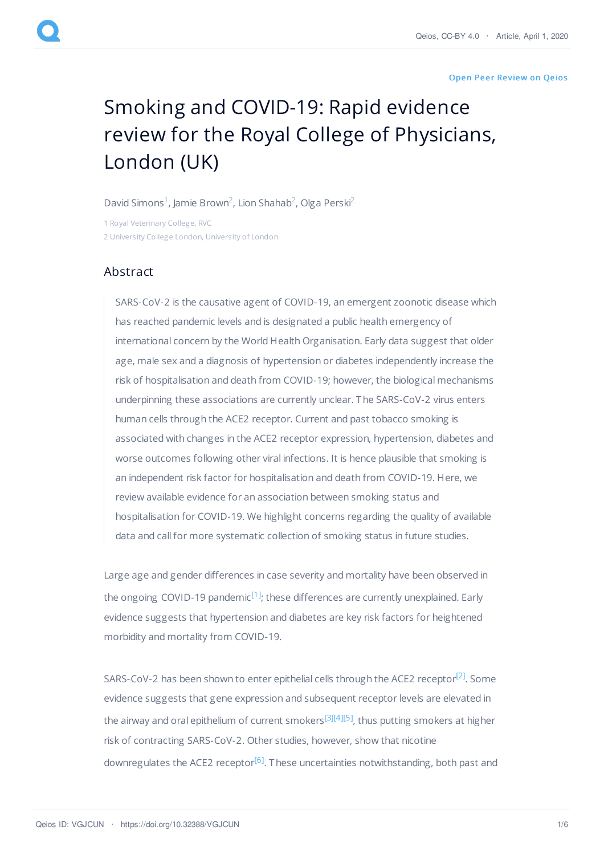## Open Peer [Review](https://www.qeios.com/read/article/555#reviews) on Qeios

## Smoking and COVID-19: Rapid evidence review for the Royal College of Physicians, London (UK)

David [Simons](https://www.qeios.com/profile/2134)<sup>1</sup>, Jamie [Brown](https://www.qeios.com/profile/1767)<sup>2</sup>, Lion [Shahab](https://www.qeios.com/profile/1766)<sup>2</sup>, Olga [Perski](https://www.qeios.com/profile/2135)<sup>2</sup>

1 Royal Veterinary College, RVC 2 University College London, University of London

## Abstract

SARS-CoV-2 is the causative agent of COVID-19, an emergent zoonotic disease which has reached pandemic levels and is designated a public health emergency of international concern by the World Health Organisation. Early data suggest that older age, male sex and a diagnosis of hypertension or diabetes independently increase the risk of hospitalisation and death from COVID-19; however, the biological mechanisms underpinning these associations are currently unclear. The SARS-CoV-2 virus enters human cells through the ACE2 receptor. Current and past tobacco smoking is associated with changes in the ACE2 receptor expression, hypertension, diabetes and worse outcomes following other viral infections. It is hence plausible that smoking is an independent risk factor for hospitalisation and death from COVID-19. Here, we review available evidence for an association between smoking status and hospitalisation for COVID-19. We highlight concerns regarding the quality of available data and call for more systematic collection of smoking status in future studies.

<span id="page-0-0"></span>Large age and gender differences in case severity and mortality have been observed in the ongoing COVID-19 pandemic<sup>[\[1\]](#page-2-0)</sup>; these differences are currently unexplained. Early evidence suggests that hypertension and diabetes are key risk factors for heightened morbidity and mortality from COVID-19.

<span id="page-0-5"></span><span id="page-0-4"></span><span id="page-0-3"></span><span id="page-0-2"></span><span id="page-0-1"></span>SARS-CoV-2 has been shown to enter epithelial cells through the ACE2 receptor<sup>[\[2\]](#page-2-1)</sup>. Some evidence suggests that gene expression and subsequent receptor levels are elevated in the airway and oral epithelium of current smokers<sup>[\[3\]](#page-2-2)[\[4\]](#page-3-0)[\[5\]](#page-3-1)</sup>, thus putting smokers at higher risk of contracting SARS-CoV-2. Other studies, however, show that nicotine downregulates the ACE2 receptor<sup>[\[6\]](#page-3-2)</sup>. These uncertainties notwithstanding, both past and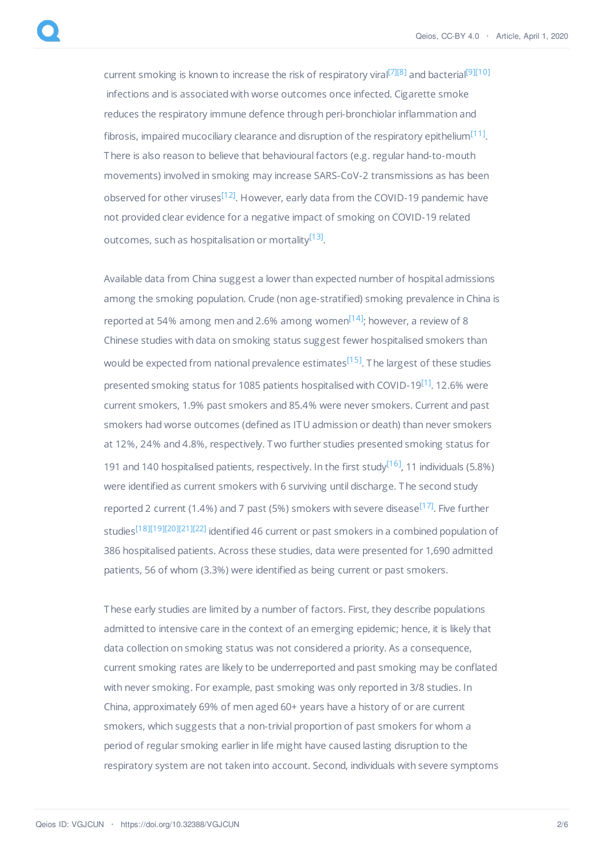<span id="page-1-5"></span><span id="page-1-4"></span><span id="page-1-3"></span><span id="page-1-2"></span><span id="page-1-1"></span>current smoking is known to increase the risk of respiratory viral<sup>[\[7\]](#page-3-3)[\[8\]](#page-3-4)</sup> and bacterial<sup>[\[9\]](#page-3-5)[\[10\]](#page-3-6)</sup> infections and is associated with worse outcomes once infected. Cigarette smoke reduces the respiratory immune defence through peri-bronchiolar inflammation and fibrosis, impaired mucociliary clearance and disruption of the respiratory epithelium<sup>[\[11\]](#page-3-7)</sup>. There is also reason to believe that behavioural factors (e.g. regular hand-to-mouth movements) involved in smoking may increase SARS-CoV-2 transmissions as has been observed for other viruses<sup>[\[12\]](#page-3-8)</sup>. However, early data from the COVID-19 pandemic have not provided clear evidence for a negative impact of smoking on COVID-19 related outcomes, such as hospitalisation or mortality<sup>[\[13\]](#page-3-9)</sup>.

<span id="page-1-9"></span><span id="page-1-8"></span><span id="page-1-7"></span><span id="page-1-6"></span><span id="page-1-0"></span>Available data from China suggest a lower than expected number of hospital admissions among the smoking population. Crude (non age-stratified) smoking prevalence in China is reported at 54% among men and 2.6% among women<sup>[\[14\]](#page-4-0)</sup>; however, a review of 8 Chinese studies with data on smoking status suggest fewer hospitalised smokers than would be expected from national prevalence estimates<sup>[\[15\]](#page-4-1)</sup>. The largest of these studies presented smoking status for 1085 patients hospitalised with COVID-19<sup>[\[1\]](#page-2-0)</sup>. 12.6% were current smokers, 1.9% past smokers and 85.4% were never smokers. Current and past smokers had worse outcomes (defined as ITU admission or death) than never smokers at 12%, 24% and 4.8%, respectively. Two further studies presented smoking status for 191 and 140 hospitalised patients, respectively. In the first study<sup>[\[16\]](#page-4-2)</sup>, 11 individuals (5.8%) were identified as current smokers with 6 surviving until discharge. The second study reported 2 current (1.4%) and 7 past (5%) smokers with severe disease<sup>[\[17\]](#page-4-3)</sup>. Five further studies<sup>[\[18\]](#page-4-4)[\[19\]](#page-4-5)[\[20\]](#page-4-6)[\[21\]](#page-4-7)[\[22\]](#page-4-8)</sup> identified 46 current or past smokers in a combined population of 386 hospitalised patients. Across these studies, data were presented for 1,690 admitted patients, 56 of whom (3.3%) were identified as being current or past smokers.

<span id="page-1-16"></span><span id="page-1-15"></span><span id="page-1-14"></span><span id="page-1-13"></span><span id="page-1-12"></span><span id="page-1-11"></span><span id="page-1-10"></span>These early studies are limited by a number of factors. First, they describe populations admitted to intensive care in the context of an emerging epidemic; hence, it is likely that data collection on smoking status was not considered a priority. As a consequence, current smoking rates are likely to be underreported and past smoking may be conflated with never smoking. For example, past smoking was only reported in 3/8 studies. In China, approximately 69% of men aged 60+ years have a history of or are current smokers, which suggests that a non-trivial proportion of past smokers for whom a period of regular smoking earlier in life might have caused lasting disruption to the respiratory system are not taken into account. Second, individuals with severe symptoms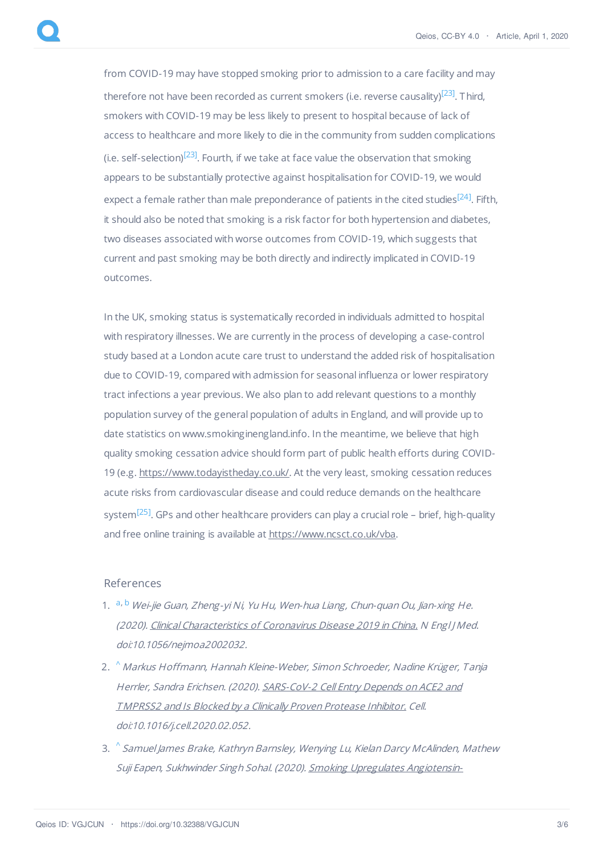<span id="page-2-4"></span><span id="page-2-3"></span>from COVID-19 may have stopped smoking prior to admission to a care facility and may therefore not have been recorded as current smokers (i.e. reverse causality)<sup>[\[23\]](#page-4-9)</sup>. Third, smokers with COVID-19 may be less likely to present to hospital because of lack of access to healthcare and more likely to die in the community from sudden complications (i.e. self-selection) $^{[23]}$  $^{[23]}$  $^{[23]}$ . Fourth, if we take at face value the observation that smoking appears to be substantially protective against hospitalisation for COVID-19, we would expect a female rather than male preponderance of patients in the cited studies<sup>[\[24\]](#page-4-10)</sup>. Fifth, it should also be noted that smoking is a risk factor for both hypertension and diabetes, two diseases associated with worse outcomes from COVID-19, which suggests that current and past smoking may be both directly and indirectly implicated in COVID-19 outcomes.

<span id="page-2-5"></span>In the UK, smoking status is systematically recorded in individuals admitted to hospital with respiratory illnesses. We are currently in the process of developing a case-control study based at a London acute care trust to understand the added risk of hospitalisation due to COVID-19, compared with admission for seasonal influenza or lower respiratory tract infections a year previous. We also plan to add relevant questions to a monthly population survey of the general population of adults in England, and will provide up to date statistics on www.smokinginengland.info. In the meantime, we believe that high quality smoking cessation advice should form part of public health efforts during COVID-19 (e.g. <https://www.todayistheday.co.uk/>. At the very least, smoking cessation reduces acute risks from cardiovascular disease and could reduce demands on the healthcare system<sup>[\[25\]](#page-4-11)</sup>. GPs and other healthcare providers can play a crucial role – brief, high-quality and free online training is available at <https://www.ncsct.co.uk/vba>.

## <span id="page-2-6"></span>References

- <span id="page-2-0"></span>1. <sup>[a](#page-0-0), [b](#page-1-0)</sup> Wei-jie Guan, Zheng-yi Ni, Yu Hu, Wen-hua Liang, Chun-quan Ou, Jian-xing He. (2020). Clinical [Characteristics](http://dx.doi.org/10.1056/nejmoa2002032) of Coronavirus Disease 2019 in China. N Engl J Med. doi:10.1056/nejmoa2002032.
- <span id="page-2-1"></span>2. [^](#page-0-1) Markus Hoffmann, Hannah Kleine-Weber, Simon Schroeder, Nadine Krüger, Tanja Herrler, Sandra Erichsen. (2020). [SARS-CoV-2](http://dx.doi.org/10.1016/j.cell.2020.02.052) Cell Entry Depends on ACE2 and TMPRSS2 and Is Blocked by <sup>a</sup> Clinically Proven Protease Inhibitor. Cell. doi:10.1016/j.cell.2020.02.052.
- <span id="page-2-2"></span>3. [^](#page-0-2) Samuel James Brake, Kathryn Barnsley, Wenying Lu, Kielan Darcy McAlinden, Mathew Suji Eapen, Sukhwinder Singh Sohal. (2020). Smoking Upregulates Angiotensin-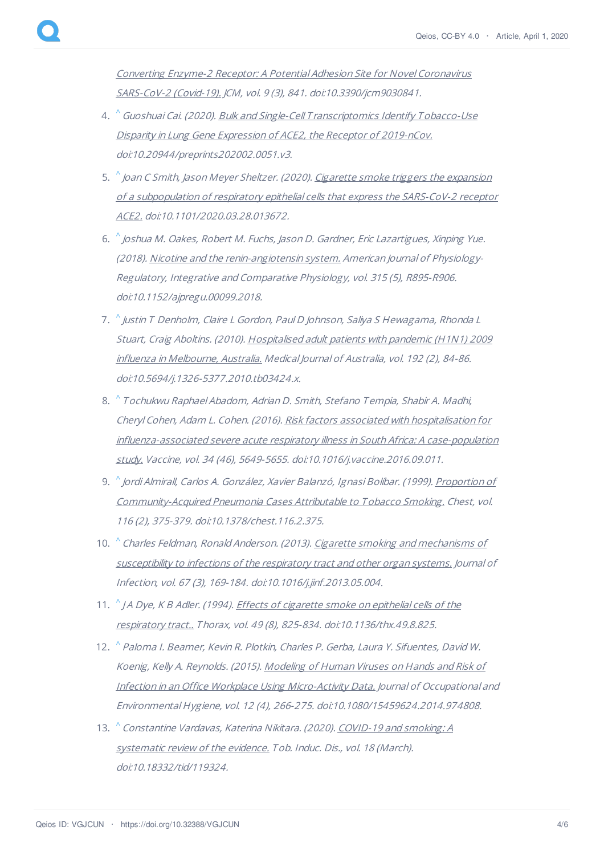Converting Enzyme-2 Receptor: A Potential Adhesion Site for Novel Coronavirus SARS-CoV-2 (Covid-19). JCM, vol. 9 (3), 841. [doi:10.3390/jcm9030841.](http://dx.doi.org/10.3390/jcm9030841)

- <span id="page-3-0"></span>4. [^](#page-0-3) Guoshuai Cai. (2020). <u>Bulk and Single-Cell T[ranscriptomics](http://dx.doi.org/10.20944/preprints202002.0051.v3) Identify Tobacco-Use</u> Disparity in Lung Gene Expression of ACE2, the Receptor of 2019-nCov. doi:10.20944/preprints202002.0051.v3.
- <span id="page-3-1"></span>5.  $\,{}^{\wedge}$  $\,{}^{\wedge}$  $\,{}^{\wedge}$ Joan C Smith, Jason Meyer Sheltzer. (2020). <u>Cigarette smoke triggers the expansion</u> of <sup>a</sup> subpopulation of respiratory epithelial cells that express the SARS-CoV-2 receptor ACE2. [doi:10.1101/2020.03.28.013672.](http://dx.doi.org/10.1101/2020.03.28.013672)
- <span id="page-3-2"></span>6. [^](#page-0-5) Joshua M. Oakes, Robert M. Fuchs, Jason D. Gardner, Eric Lazartigues, Xinping Yue. (2018). Nicotine and the [renin-angiotensin](http://dx.doi.org/10.1152/ajpregu.00099.2018) system. American Journal of Physiology-Regulatory, Integrative and Comparative Physiology, vol. 315 (5), R895-R906. doi:10.1152/ajpregu.00099.2018.
- <span id="page-3-3"></span>7. [^](#page-1-1) Justin T Denholm, Claire L Gordon, Paul D Johnson, Saliya S Hewagama, Rhonda L Stuart, Craig Aboltins. (2010). [Hospitalised](http://dx.doi.org/10.5694/j.1326-5377.2010.tb03424.x) adult patients with pandemic (H1N1) 2009 influenza in Melbourne, Australia. Medical Journal of Australia, vol. 192 (2), 84-86. doi:10.5694/j.1326-5377.2010.tb03424.x.
- <span id="page-3-4"></span>8. [^](#page-1-2) Tochukwu Raphael Abadom, Adrian D. Smith, Stefano Tempia, Shabir A. Madhi, Cheryl Cohen, Adam L. Cohen. (2016). Risk factors associated with hospitalisation for influenza-associated severe acute respiratory illness in South Africa: A case-population study. Vaccine, vol. 34 (46), 5649-5655. [doi:10.1016/j.vaccine.2016.09.011.](http://dx.doi.org/10.1016/j.vaccine.2016.09.011)
- <span id="page-3-5"></span>9.  $\,{}^{\wedge}$  $\,{}^{\wedge}$  $\,{}^{\wedge}$ Jordi Almirall, Carlos A. González, Xavier Balanzó, Ignasi Bolíbar. (1999). <u>Proportion of</u> [Community-Acquired](http://dx.doi.org/10.1378/chest.116.2.375) Pneumonia Cases Attributable to Tobacco Smoking. Chest, vol. 116 (2), 375-379. doi:10.1378/chest.116.2.375.
- <span id="page-3-6"></span>10. *[^](#page-1-4) Charles Feldman, Ronald Anderson. (2013). <u>Cigarette smoking and mechanisms of</u>* [susceptibility](http://dx.doi.org/10.1016/j.jinf.2013.05.004) to infections of the respiratory tract and other organ systems. Journal of Infection, vol. 67 (3), 169-184. doi:10.1016/j.jinf.2013.05.004.
- <span id="page-3-7"></span>11. *[^](#page-1-5) JA Dye, K B Adler.* (1994). *Effects of cigarette smoke on epithelial cells of the* respiratory tract.. Thorax, vol. 49 (8), 825-834. [doi:10.1136/thx.49.8.825.](http://dx.doi.org/10.1136/thx.49.8.825)
- <span id="page-3-8"></span>12. [^](#page-1-6) Paloma I. Beamer, Kevin R. Plotkin, Charles P. Gerba, Laura Y. Sifuentes, David W. Koenig, Kelly A. Reynolds. (2015). Modeling of Human Viruses on Hands and Risk of Infection in an Office Workplace Using [Micro-Activity](http://dx.doi.org/10.1080/15459624.2014.974808) Data. Journal of Occupational and Environmental Hygiene, vol. 12 (4), 266-275. doi:10.1080/15459624.2014.974808.
- <span id="page-3-9"></span>13. <u>Constantine Vardavas, Katerina Nikitara.</u> (2020). COVID-19 and smoking: A [systematic](http://dx.doi.org/10.18332/tid/119324) review of the evidence. Tob. Induc. Dis., vol. 18 (March). doi:10.18332/tid/119324.